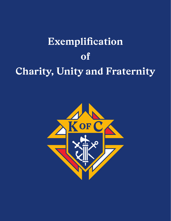# **Exemplification of Charity, Unity and Fraternity**

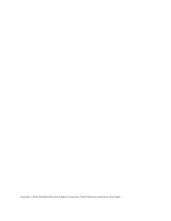Copyright © 2020. All Rights Reserved. Knights of Columbus, Father McGivney painting by Chas Fagan.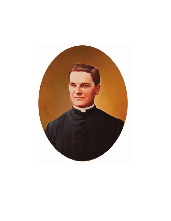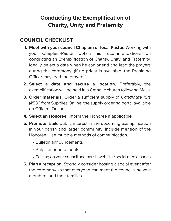# **Conducting the Exemplification of Charity, Unity and Fraternity**

## **COUNCIL CHECKLIST**

- **1. Meet with your council Chaplain or local Pastor.** Working with your Chaplain/Pastor, obtain his recommendations on conducting an Exemplification of Charity, Unity, and Fraternity. Ideally, select a date when he can attend and lead the prayers during the ceremony. (If no priest is available, the Presiding Officer may lead the prayers.)
- **2. Select a date and secure a location.** Preferably, the exemplification will be held in a Catholic church following Mass.
- **3. Order materials.** Order a sufficient supply of Candidate Kits (#531) from Supplies Online, the supply ordering portal available on Officers Online.
- **4. Select an Honoree.** Inform the Honoree if applicable.
- **5. Promote.** Build public interest in the upcoming exemplification in your parish and larger community. Include mention of the Honoree. Use multiple methods of communication.
	- Bulletin announcements
	- Pulpit announcements
	- Posting on your council and parish website / social media pages
- **6. Plan a reception.** Strongly consider hosting a social event after the ceremony so that everyone can meet the council's newest members and their families.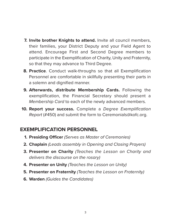- **7. Invite brother Knights to attend.** Invite all council members, their families, your District Deputy and your Field Agent to attend. Encourage First and Second Degree members to participate in the Exemplification of Charity, Unity and Fraternity, so that they may advance to Third Degree.
- **8. Practice**. Conduct walk-throughs so that all Exemplification Personnel are comfortable in skillfully presenting their parts in a solemn and dignified manner.
- **9. Afterwards, distribute Membership Cards.** Following the exemplification, the Financial Secretary should present a Membership Card to each of the newly advanced members.
- **10. Report your success.** Complete a Degree Exemplification Report (#450) and submit the form to Ceremonials@kofc.org.

## **EXEMPLIFICATION PERSONNEL**

- **1. Presiding Officer** (Serves as Master of Ceremonies)
- **2. Chaplain** (Leads assembly in Opening and Closing Prayers)
- **3. Presenter on Charity** (Teaches the Lesson on Charity and delivers the discourse on the rosary)
- **4. Presenter on Unity** (Teaches the Lesson on Unity)
- **5. Presenter on Fraternity** (Teaches the Lesson on Fraternity)
- **6. Warden** (Guides the Candidates)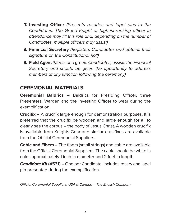- **7. Investing Officer** (Presents rosaries and lapel pins to the Candidates. The Grand Knight or highest-ranking officer in attendance may fill this role and, depending on the number of Candidates, multiple officers may assist)
- **8. Financial Secretary** (Registers Candidates and obtains their signature on the Constitutional Roll)
- **9. Field Agent** (Meets and greets Candidates, assists the Financial Secretary and should be given the opportunity to address members at any function following the ceremony)

## **CEREMONIAL MATERIALS**

**Ceremonial Baldrics –** Baldrics for Presiding Officer, three Presenters, Warden and the Investing Officer to wear during the exemplification.

**Crucifix –** A crucifix large enough for demonstration purposes. It is preferred that the crucifix be wooden and large enough for all to clearly see the corpus – the body of Jesus Christ. A wooden crucifix is available from Knights Gear and similar crucifixes are available from the Official Ceremonial Suppliers.

**Cable and Fibers –** The fibers (small strings) and cable are available from the Official Ceremonial Suppliers. The cable should be white in color, approximately 1 inch in diameter and 2 feet in length.

**Candidate Kit (#531) –** One per Candidate. Includes rosary and lapel pin presented during the exemplification.

Official Ceremonial Suppliers: USA & Canada – The English Company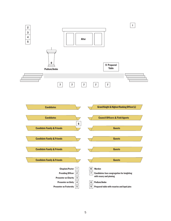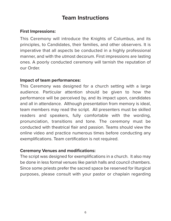## **Team Instructions**

## **First Impressions:**

This Ceremony will introduce the Knights of Columbus, and its principles, to Candidates, their families, and other observers. It is imperative that all aspects be conducted in a highly professional manner, and with the utmost decorum. First impressions are lasting ones. A poorly conducted ceremony will tarnish the reputation of our Order.

#### **Impact of team performances:**

This Ceremony was designed for a church setting with a large audience. Particular attention should be given to how the performance will be perceived by, and its impact upon, candidates and all in attendance. Although presentation from memory is ideal, team members may read the script. All presenters must be skilled readers and speakers, fully comfortable with the wording, pronunciation, transitions and tone. The ceremony must be conducted with theatrical flair and passion. Teams should view the online video and practice numerous times before conducting any exemplifications. Team certification is not required.

## **Ceremony Venues and modifications:**

The script was designed for exemplifications in a church. It also may be done in less formal venues like parish halls and council chambers. Since some priests prefer the sacred space be reserved for liturgical purposes, please consult with your pastor or chaplain regarding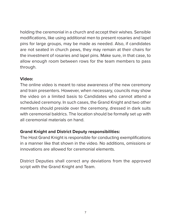holding the ceremonial in a church and accept their wishes. Sensible modifications, like using additional men to present rosaries and lapel pins for large groups, may be made as needed. Also, if candidates are not seated in church pews, they may remain at their chairs for the investment of rosaries and lapel pins. Make sure, in that case, to allow enough room between rows for the team members to pass through.

## **Video:**

The online video is meant to raise awareness of the new ceremony and train presenters. However, when necessary, councils may show the video on a limited basis to Candidates who cannot attend a scheduled ceremony. In such cases, the Grand Knight and two other members should preside over the ceremony, dressed in dark suits with ceremonial baldrics. The location should be formally set up with all ceremonial materials on hand.

## **Grand Knight and District Deputy responsibilities:**

The Host Grand Knight is responsible for conducting exemplifications in a manner like that shown in the video. No additions, omissions or innovations are allowed for ceremonial elements.

District Deputies shall correct any deviations from the approved script with the Grand Knight and Team.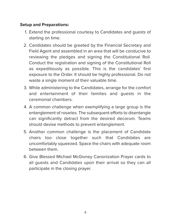## **Setup and Preparations:**

- 1. Extend the professional courtesy to Candidates and guests of starting on time.
- 2. Candidates should be greeted by the Financial Secretary and Field Agent and assembled in an area that will be conducive to reviewing the pledges and signing the Constitutional Roll. Conduct the registration and signing of the Constitutional Roll as expeditiously as possible. This is the candidates' first exposure to the Order. It should be highly professional. Do not waste a single moment of their valuable time.
- 3. While administering to the Candidates, arrange for the comfort and entertainment of their families and guests in the ceremonial chambers.
- 4. A common challenge when exemplifying a large group is the entanglement of rosaries. The subsequent efforts to disentangle can significantly detract from the desired decorum. Teams should devise methods to prevent entanglement.
- 5. Another common challenge is the placement of Candidate chairs too close together such that Candidates are uncomfortably squeezed. Space the chairs with adequate room between them.
- 6. Give Blessed Michael McGivney Canonization Prayer cards to all guests and Candidates upon their arrival so they can all participate in the closing prayer.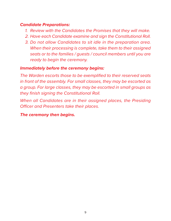#### **Candidate Preparations:**

- 1. Review with the Candidates the Promises that they will make.
- 2. Have each Candidate examine and sign the Constitutional Roll.
- 3. Do not allow Candidates to sit idle in the preparation area. When their processing is complete, take them to their assigned seats or to the families / guests / council members until you are ready to begin the ceremony.

#### **Immediately before the ceremony begins:**

The Warden escorts those to be exemplified to their reserved seats in front of the assembly. For small classes, they may be escorted as a group. For large classes, they may be escorted in small groups as they finish signing the Constitutional Roll.

When all Candidates are in their assigned places, the Presiding Officer and Presenters take their places.

**The ceremony then begins.**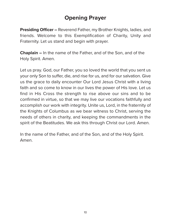# **Opening Prayer**

**Presiding Officer –** Reverend Father, my Brother Knights, ladies, and friends. Welcome to this Exemplification of Charity, Unity and Fraternity. Let us stand and begin with prayer.

**Chaplain –** In the name of the Father, and of the Son, and of the Holy Spirit. Amen.

Let us pray. God, our Father, you so loved the world that you sent us your only Son to suffer, die, and rise for us, and for our salvation. Give us the grace to daily encounter Our Lord Jesus Christ with a living faith and so come to know in our lives the power of His love. Let us find in His Cross the strength to rise above our sins and to be confirmed in virtue, so that we may live our vocations faithfully and accomplish our work with integrity. Unite us, Lord, in the fraternity of the Knights of Columbus as we bear witness to Christ, serving the needs of others in charity, and keeping the commandments in the spirit of the Beatitudes. We ask this through Christ our Lord. Amen.

In the name of the Father, and of the Son, and of the Holy Spirit. Amen.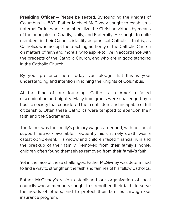**Presiding Officer –** Please be seated. By founding the Knights of Columbus in 1882, Father Michael McGivney sought to establish a fraternal Order whose members live the Christian virtues by means of the principles of Charity, Unity, and Fraternity. He sought to unite members in their Catholic identity as practical Catholics, that is, as Catholics who accept the teaching authority of the Catholic Church on matters of faith and morals, who aspire to live in accordance with the precepts of the Catholic Church, and who are in good standing in the Catholic Church.

By your presence here today, you pledge that this is your understanding and intention in joining the Knights of Columbus.

At the time of our founding, Catholics in America faced discrimination and bigotry. Many immigrants were challenged by a hostile society that considered them outsiders and incapable of full citizenship. Often these Catholics were tempted to abandon their faith and the Sacraments.

The father was the family's primary wage earner and, with no social support network available, frequently his untimely death was a catastrophic event. His widow and children faced financial ruin and the breakup of their family. Removed from their family's home, children often found themselves removed from their family's faith.

Yet in the face of these challenges, Father McGivney was determined to find a way to strengthen the faith and families of his fellow Catholics.

Father McGivney's vision established our organization of local councils whose members sought to strengthen their faith, to serve the needs of others, and to protect their families through our insurance program.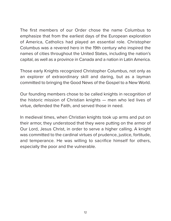The first members of our Order chose the name Columbus to emphasize that from the earliest days of the European exploration of America, Catholics had played an essential role. Christopher Columbus was a revered hero in the 19th century who inspired the names of cities throughout the United States, including the nation's capital, as well as a province in Canada and a nation in Latin America.

Those early Knights recognized Christopher Columbus, not only as an explorer of extraordinary skill and daring, but as a layman committed to bringing the Good News of the Gospel to a New World.

Our founding members chose to be called knights in recognition of the historic mission of Christian knights — men who led lives of virtue, defended the Faith, and served those in need.

In medieval times, when Christian knights took up arms and put on their armor, they understood that they were putting on the armor of Our Lord, Jesus Christ, in order to serve a higher calling. A knight was committed to the cardinal virtues of prudence, justice, fortitude, and temperance. He was willing to sacrifice himself for others, especially the poor and the vulnerable.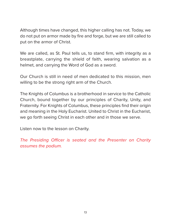Although times have changed, this higher calling has not. Today, we do not put on armor made by fire and forge, but we are still called to put on the armor of Christ.

We are called, as St. Paul tells us, to stand firm, with integrity as a breastplate, carrying the shield of faith, wearing salvation as a helmet, and carrying the Word of God as a sword.

Our Church is still in need of men dedicated to this mission, men willing to be the strong right arm of the Church.

The Knights of Columbus is a brotherhood in service to the Catholic Church, bound together by our principles of Charity, Unity, and Fraternity. For Knights of Columbus, these principles find their origin and meaning in the Holy Eucharist. United to Christ in the Eucharist, we go forth seeing Christ in each other and in those we serve.

Listen now to the lesson on Charity.

The Presiding Officer is seated and the Presenter on Charity assumes the podium.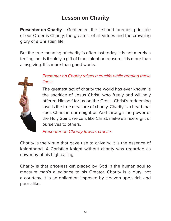# **Lesson on Charity**

**Presenter on Charity –** Gentlemen, the first and foremost principle of our Order is Charity, the greatest of all virtues and the crowning glory of a Christian life.

But the true meaning of charity is often lost today. It is not merely a feeling, nor is it solely a gift of time, talent or treasure. It is more than almsgiving. It is more than good works.



## Presenter on Charity raises a crucifix while reading these lines:

The greatest act of charity the world has ever known is the sacrifice of Jesus Christ, who freely and willingly offered Himself for us on the Cross. Christ's redeeming love is the true measure of charity. Charity is a heart that sees Christ in our neighbor. And through the power of the Holy Spirit, we can, like Christ, make a sincere gift of ourselves to others.

Presenter on Charity lowers crucifix.

Charity is the virtue that gave rise to chivalry. It is the essence of knighthood. A Christian knight without charity was regarded as unworthy of his high calling.

Charity is that priceless gift placed by God in the human soul to measure man's allegiance to his Creator. Charity is a duty, not a courtesy. It is an obligation imposed by Heaven upon rich and poor alike.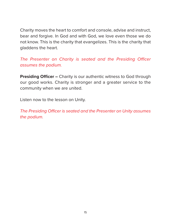Charity moves the heart to comfort and console, advise and instruct, bear and forgive. In God and with God, we love even those we do not know. This is the charity that evangelizes. This is the charity that gladdens the heart.

The Presenter on Charity is seated and the Presiding Officer assumes the podium.

**Presiding Officer –** Charity is our authentic witness to God through our good works. Charity is stronger and a greater service to the community when we are united.

Listen now to the lesson on Unity.

The Presiding Officer is seated and the Presenter on Unity assumes the podium.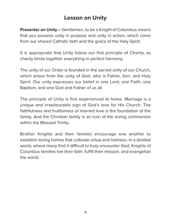# **Lesson on Unity**

**Presenter on Unity –** Gentlemen, to be a Knight of Columbus means that you possess unity in purpose and unity in action, which come from our shared Catholic faith and the grace of the Holy Spirit.

It is appropriate that Unity follow our first principle of Charity, as charity binds together everything in perfect harmony.

The unity of our Order is founded in the sacred unity of our Church, which arises from the unity of God, who is Father, Son, and Holy Spirit. Our unity expresses our belief in one Lord, one Faith, one Baptism, and one God and Father of us all.

The principle of Unity is first experienced at home. Marriage is a unique and irreplaceable sign of God's love for His Church. The faithfulness and fruitfulness of married love is the foundation of the family. And the Christian family is an icon of the loving communion within the Blessed Trinity.

Brother Knights and their families encourage one another to establish loving homes that cultivate virtue and holiness. In a divided world, where many find it difficult to truly encounter God, Knights of Columbus families live their faith, fulfill their mission, and evangelize the world.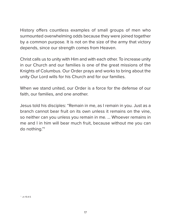History offers countless examples of small groups of men who surmounted overwhelming odds because they were joined together by a common purpose. It is not on the size of the army that victory depends, since our strength comes from Heaven.

Christ calls us to unity with Him and with each other. To increase unity in our Church and our families is one of the great missions of the Knights of Columbus. Our Order prays and works to bring about the unity Our Lord wills for his Church and for our families.

When we stand united, our Order is a force for the defense of our faith, our families, and one another.

Jesus told his disciples: "Remain in me, as I remain in you. Just as a branch cannot bear fruit on its own unless it remains on the vine, so neither can you unless you remain in me. … Whoever remains in me and I in him will bear much fruit, because without me you can do nothing."1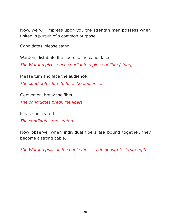Now, we will impress upon you the strength men possess when united in pursuit of a common purpose.

Candidates, please stand.

Warden, distribute the fibers to the candidates. The Warden gives each candidate a piece of fiber (string).

Please turn and face the audience.

The candidates turn to face the audience.

Gentlemen, break the fiber.

The candidates break the fibers.

Please be seated.

The candidates are seated.

Now observe: when individual fibers are bound together, they become a strong cable.

The Warden pulls on the cable thrice to demonstrate its strength.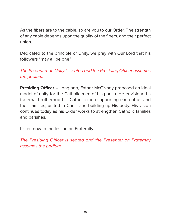As the fibers are to the cable, so are you to our Order. The strength of any cable depends upon the quality of the fibers, and their perfect union.

Dedicated to the principle of Unity, we pray with Our Lord that his followers "may all be one."

The Presenter on Unity is seated and the Presiding Officer assumes the podium.

**Presiding Officer –** Long ago, Father McGivney proposed an ideal model of unity for the Catholic men of his parish. He envisioned a fraternal brotherhood — Catholic men supporting each other and their families, united in Christ and building up His body. His vision continues today as his Order works to strengthen Catholic families and parishes.

Listen now to the lesson on Fraternity.

The Presiding Officer is seated and the Presenter on Fraternity assumes the podium.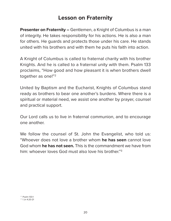## **Lesson on Fraternity**

**Presenter on Fraternity –** Gentlemen, a Knight of Columbus is a man of integrity. He takes responsibility for his actions. He is also a man for others. He guards and protects those under his care. He stands united with his brothers and with them he puts his faith into action.

A Knight of Columbus is called to fraternal charity with his brother Knights. And he is called to a fraternal unity with them. Psalm 133 proclaims, "How good and how pleasant it is when brothers dwell together as one!"2

United by Baptism and the Eucharist, Knights of Columbus stand ready as brothers to bear one another's burdens. Where there is a spiritual or material need, we assist one another by prayer, counsel and practical support.

Our Lord calls us to live in fraternal communion, and to encourage one another.

We follow the counsel of St. John the Evangelist, who told us: "Whoever does not love a brother whom **he has seen** cannot love God whom **he has not seen.** This is the commandment we have from him: whoever loves God must also love his brother."<sup>3</sup>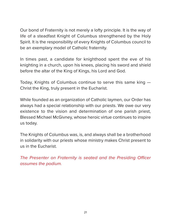Our bond of Fraternity is not merely a lofty principle. It is the way of life of a steadfast Knight of Columbus strengthened by the Holy Spirit. It is the responsibility of every Knights of Columbus council to be an exemplary model of Catholic fraternity.

In times past, a candidate for knighthood spent the eve of his knighting in a church, upon his knees, placing his sword and shield before the altar of the King of Kings, his Lord and God.

Today, Knights of Columbus continue to serve this same king — Christ the King, truly present in the Eucharist.

While founded as an organization of Catholic laymen, our Order has always had a special relationship with our priests. We owe our very existence to the vision and determination of one parish priest, Blessed Michael McGivney, whose heroic virtue continues to inspire us today.

The Knights of Columbus was, is, and always shall be a brotherhood in solidarity with our priests whose ministry makes Christ present to us in the Eucharist.

The Presenter on Fraternity is seated and the Presiding Officer assumes the podium.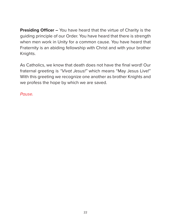**Presiding Officer –** You have heard that the virtue of Charity is the guiding principle of our Order. You have heard that there is strength when men work in Unity for a common cause. You have heard that Fraternity is an abiding fellowship with Christ and with your brother Knights.

As Catholics, we know that death does not have the final word! Our fraternal greeting is "Vivat Jesus!" which means "May Jesus Live!" With this greeting we recognize one another as brother Knights and we profess the hope by which we are saved.

Pause.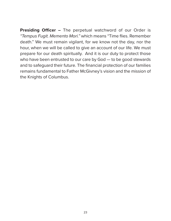**Presiding Officer –** The perpetual watchword of our Order is "Tempus Fugit. Memento Mori." which means "Time flies. Remember death." We must remain vigilant, for we know not the day, nor the hour, when we will be called to give an account of our life. We must prepare for our death spiritually. And it is our duty to protect those who have been entrusted to our care by God — to be good stewards and to safeguard their future. The financial protection of our families remains fundamental to Father McGivney's vision and the mission of the Knights of Columbus.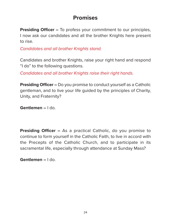## **Promises**

**Presiding Officer –** To profess your commitment to our principles, I now ask our candidates and all the brother Knights here present to rise.

Candidates and all brother Knights stand.

Candidates and brother Knights, raise your right hand and respond "I do" to the following questions.

Candidates and all brother Knights raise their right hands.

**Presiding Officer –** Do you promise to conduct yourself as a Catholic gentleman, and to live your life guided by the principles of Charity, Unity, and Fraternity?

**Gentlemen –** I do.

**Presiding Officer –** As a practical Catholic, do you promise to continue to form yourself in the Catholic Faith, to live in accord with the Precepts of the Catholic Church, and to participate in its sacramental life, especially through attendance at Sunday Mass?

**Gentlemen –** I do.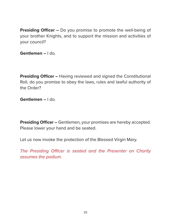**Presiding Officer –** Do you promise to promote the well-being of your brother Knights, and to support the mission and activities of your council?

**Gentlemen –** I do.

**Presiding Officer –** Having reviewed and signed the Constitutional Roll, do you promise to obey the laws, rules and lawful authority of the Order?

**Gentlemen –** I do.

**Presiding Officer –** Gentlemen, your promises are hereby accepted. Please lower your hand and be seated.

Let us now invoke the protection of the Blessed Virgin Mary.

The Presiding Officer is seated and the Presenter on Charity assumes the podium.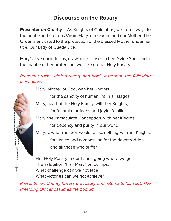## **Discourse on the Rosary**

**Presenter on Charity –** As Knights of Columbus, we turn always to the gentle and glorious Virgin Mary, our Queen and our Mother. The Order is entrusted to the protection of the Blessed Mother under her title: Our Lady of Guadalupe.

Mary's love encircles us, drawing us closer to her Divine Son. Under the mantle of her protection, we take up her Holy Rosary.

## Presenter raises aloft a rosary and holds it through the following invocations.

Mary, Mother of God, with her Knights,

for the sanctity of human life in all stages.

Mary, heart of the Holy Family, with her Knights,

for faithful marriages and joyful families.

Mary, the Immaculate Conception, with her Knights,

for decency and purity in our world.

Mary, to whom her Son would refuse nothing, with her Knights, for justice and compassion for the downtrodden and all those who suffer.

Her Holy Rosary in our hands going where we go. The salutation "Hail Mary" on our lips. What challenge can we not face? What victories can we not achieve?

Presenter on Charity lowers the rosary and returns to his seat. The Presiding Officer assumes the podium.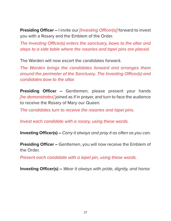**Presiding Officer –** I invite our *[Investing Officer(s)]* forward to invest you with a Rosary and the Emblem of the Order.

The Investing Officer(s) enters the sanctuary, bows to the altar and steps to a side table where the rosaries and lapel pins are placed.

The Warden will now escort the candidates forward.

The Warden brings the candidates forward and arranges them around the perimeter of the Sanctuary. The Investing Officer(s) and candidates bow to the altar.

**Presiding Officer –** Gentlemen, please present your hands [he demonstrates] joined as if in prayer, and turn to face the audience to receive the Rosary of Mary our Queen.

The candidates turn to receive the rosaries and lapel pins.

Invest each candidate with a rosary, using these words.

**Investing Officer(s) –** Carry it always and pray it as often as you can.

**Presiding Officer –** Gentlemen, you will now receive the Emblem of the Order.

Present each candidate with a lapel pin, using these words.

**Investing Officer(s) –** Wear it always with pride, dignity, and honor.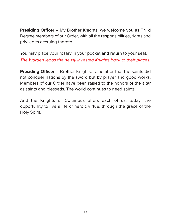**Presiding Officer –** My Brother Knights: we welcome you as Third Degree members of our Order, with all the responsibilities, rights and privileges accruing thereto.

You may place your rosary in your pocket and return to your seat. The Warden leads the newly invested Knights back to their places.

**Presiding Officer –** Brother Knights, remember that the saints did not conquer nations by the sword but by prayer and good works. Members of our Order have been raised to the honors of the altar as saints and blesseds. The world continues to need saints.

And the Knights of Columbus offers each of us, today, the opportunity to live a life of heroic virtue, through the grace of the Holy Spirit.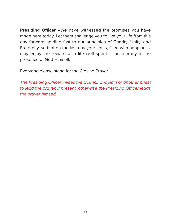**Presiding Officer –**We have witnessed the promises you have made here today. Let them challenge you to live your life from this day forward holding fast to our principles of Charity, Unity, and Fraternity, so that on the last day your souls, filled with happiness, may enjoy the reward of a life well spent — an eternity in the presence of God Himself.

Everyone please stand for the Closing Prayer.

The Presiding Officer invites the Council Chaplain or another priest to lead the prayer, if present, otherwise the Presiding Officer leads the prayer himself.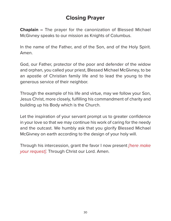# **Closing Prayer**

**Chaplain –** The prayer for the canonization of Blessed Michael McGivney speaks to our mission as Knights of Columbus.

In the name of the Father, and of the Son, and of the Holy Spirit. Amen.

God, our Father, protector of the poor and defender of the widow and orphan, you called your priest, Blessed Michael McGivney, to be an apostle of Christian family life and to lead the young to the generous service of their neighbor.

Through the example of his life and virtue, may we follow your Son, Jesus Christ, more closely, fulfilling his commandment of charity and building up his Body which is the Church.

Let the inspiration of your servant prompt us to greater confidence in your love so that we may continue his work of caring for the needy and the outcast. We humbly ask that you glorify Blessed Michael McGivney on earth according to the design of your holy will.

Through his intercession, grant the favor I now present *[here make*] your request]. Through Christ our Lord. Amen.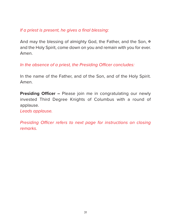## If a priest is present, he gives a final blessing:

And may the blessing of almighty God, the Father, and the Son,  $\mathbb F$ and the Holy Spirit, come down on you and remain with you for ever. Amen.

In the absence of a priest, the Presiding Officer concludes:

In the name of the Father, and of the Son, and of the Holy Spirit. Amen.

**Presiding Officer –** Please join me in congratulating our newly invested Third Degree Knights of Columbus with a round of applause.

Leads applause.

Presiding Officer refers to next page for instructions on closing remarks.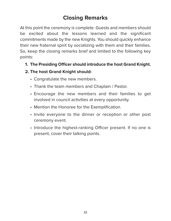# **Closing Remarks**

At this point the ceremony is complete. Guests and members should be excited about the lessons learned and the significant commitments made by the new Knights. You should quickly enhance their new fraternal spirit by socializing with them and their families. So, keep the closing remarks brief and limited to the following key points:

 **1. The Presiding Officer should introduce the host Grand Knight.** 

## **2. The host Grand Knight should:**

- Congratulate the new members.
- Thank the team members and Chaplain / Pastor.
- Encourage the new members and their families to get involved in council activities at every opportunity.
- Mention the Honoree for the Exemplification.
- Invite everyone to the dinner or reception or other post ceremony event.
- Introduce the highest-ranking Officer present. If no one is present, cover their talking points.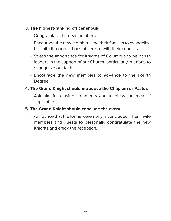## **3. The highest-ranking officer should:**

- Congratulate the new members.
- Encourage the new members and their families to evangelize the faith through actions of service with their councils.
- Stress the importance for Knights of Columbus to be parish leaders in the support of our Church, particularly in efforts to evangelize our faith.
- Encourage the new members to advance to the Fourth Degree.
- **4. The Grand Knight should introduce the Chaplain or Pastor.**
	- Ask him for closing comments and to bless the meal, if applicable.
- **5. The Grand Knight should conclude the event.**
	- Announce that the formal ceremony is concluded. Then invite members and guests to personally congratulate the new Knights and enjoy the reception.